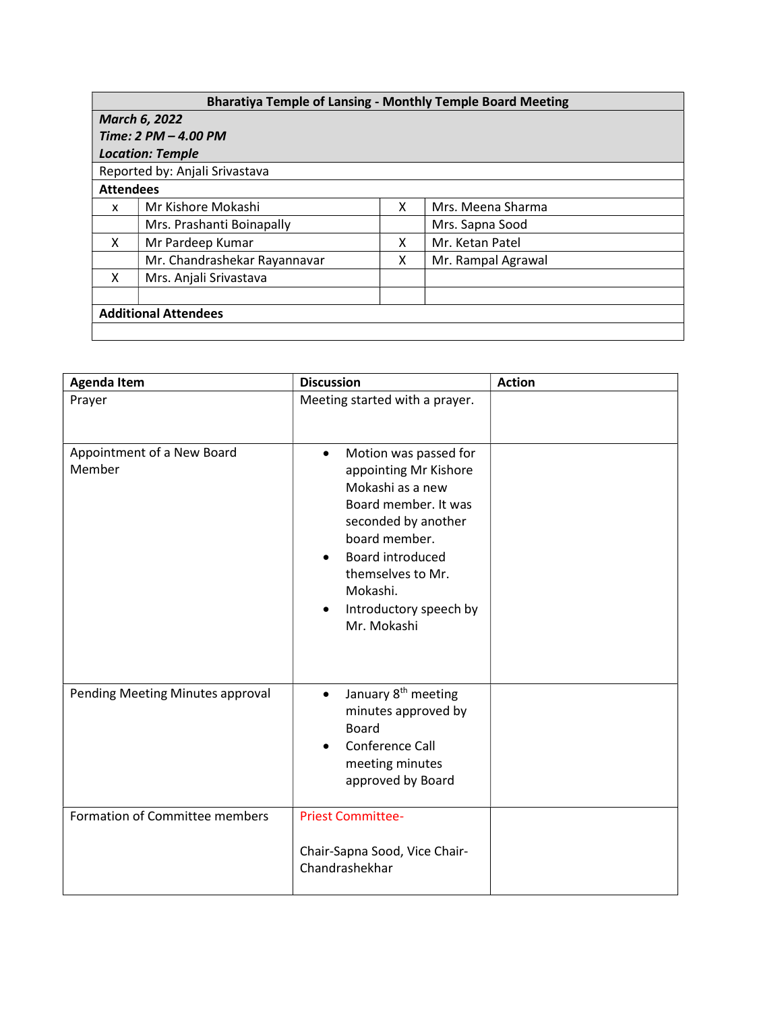| <b>Bharatiya Temple of Lansing - Monthly Temple Board Meeting</b> |   |                    |  |  |  |
|-------------------------------------------------------------------|---|--------------------|--|--|--|
| <b>March 6, 2022</b>                                              |   |                    |  |  |  |
| Time: 2 PM - 4.00 PM                                              |   |                    |  |  |  |
| <b>Location: Temple</b>                                           |   |                    |  |  |  |
| Reported by: Anjali Srivastava                                    |   |                    |  |  |  |
| <b>Attendees</b>                                                  |   |                    |  |  |  |
| Mr Kishore Mokashi                                                | X | Mrs. Meena Sharma  |  |  |  |
| Mrs. Prashanti Boinapally                                         |   | Mrs. Sapna Sood    |  |  |  |
| Mr Pardeep Kumar                                                  | X | Mr. Ketan Patel    |  |  |  |
| Mr. Chandrashekar Rayannavar                                      | x | Mr. Rampal Agrawal |  |  |  |
| Mrs. Anjali Srivastava                                            |   |                    |  |  |  |
|                                                                   |   |                    |  |  |  |
| <b>Additional Attendees</b>                                       |   |                    |  |  |  |
|                                                                   |   |                    |  |  |  |
|                                                                   |   |                    |  |  |  |

| <b>Agenda Item</b>                   | <b>Discussion</b>                                                                                                                                                                                                                                          | <b>Action</b> |
|--------------------------------------|------------------------------------------------------------------------------------------------------------------------------------------------------------------------------------------------------------------------------------------------------------|---------------|
| Prayer                               | Meeting started with a prayer.                                                                                                                                                                                                                             |               |
| Appointment of a New Board<br>Member | Motion was passed for<br>$\bullet$<br>appointing Mr Kishore<br>Mokashi as a new<br>Board member. It was<br>seconded by another<br>board member.<br>Board introduced<br>$\bullet$<br>themselves to Mr.<br>Mokashi.<br>Introductory speech by<br>Mr. Mokashi |               |
| Pending Meeting Minutes approval     | January 8 <sup>th</sup> meeting<br>$\bullet$<br>minutes approved by<br><b>Board</b><br>Conference Call<br>$\bullet$<br>meeting minutes<br>approved by Board                                                                                                |               |
| Formation of Committee members       | <b>Priest Committee-</b><br>Chair-Sapna Sood, Vice Chair-<br>Chandrashekhar                                                                                                                                                                                |               |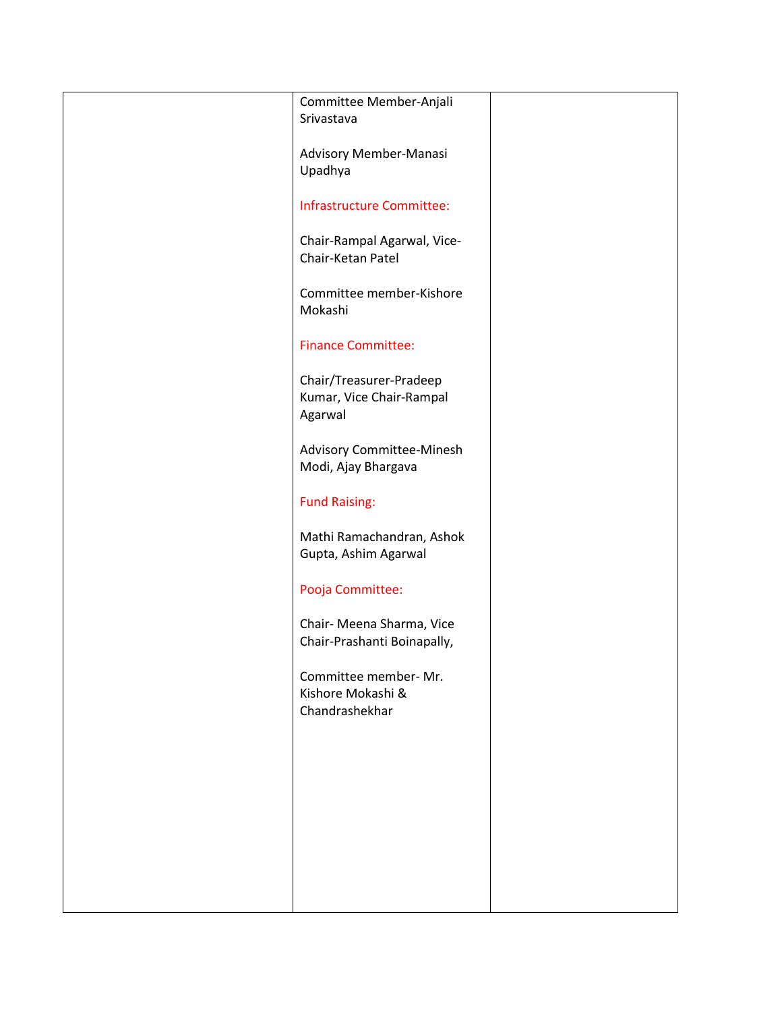| Committee Member-Anjali     |  |
|-----------------------------|--|
| Srivastava                  |  |
|                             |  |
|                             |  |
| Advisory Member-Manasi      |  |
| Upadhya                     |  |
|                             |  |
|                             |  |
| Infrastructure Committee:   |  |
|                             |  |
| Chair-Rampal Agarwal, Vice- |  |
| Chair-Ketan Patel           |  |
|                             |  |
|                             |  |
| Committee member-Kishore    |  |
| Mokashi                     |  |
|                             |  |
|                             |  |
| <b>Finance Committee:</b>   |  |
|                             |  |
|                             |  |
| Chair/Treasurer-Pradeep     |  |
| Kumar, Vice Chair-Rampal    |  |
| Agarwal                     |  |
|                             |  |
|                             |  |
| Advisory Committee-Minesh   |  |
| Modi, Ajay Bhargava         |  |
|                             |  |
|                             |  |
| <b>Fund Raising:</b>        |  |
|                             |  |
| Mathi Ramachandran, Ashok   |  |
|                             |  |
| Gupta, Ashim Agarwal        |  |
|                             |  |
| Pooja Committee:            |  |
|                             |  |
|                             |  |
| Chair- Meena Sharma, Vice   |  |
| Chair-Prashanti Boinapally, |  |
|                             |  |
|                             |  |
| Committee member- Mr.       |  |
| Kishore Mokashi &           |  |
| Chandrashekhar              |  |
|                             |  |
|                             |  |
|                             |  |
|                             |  |
|                             |  |
|                             |  |
|                             |  |
|                             |  |
|                             |  |
|                             |  |
|                             |  |
|                             |  |
|                             |  |
|                             |  |
|                             |  |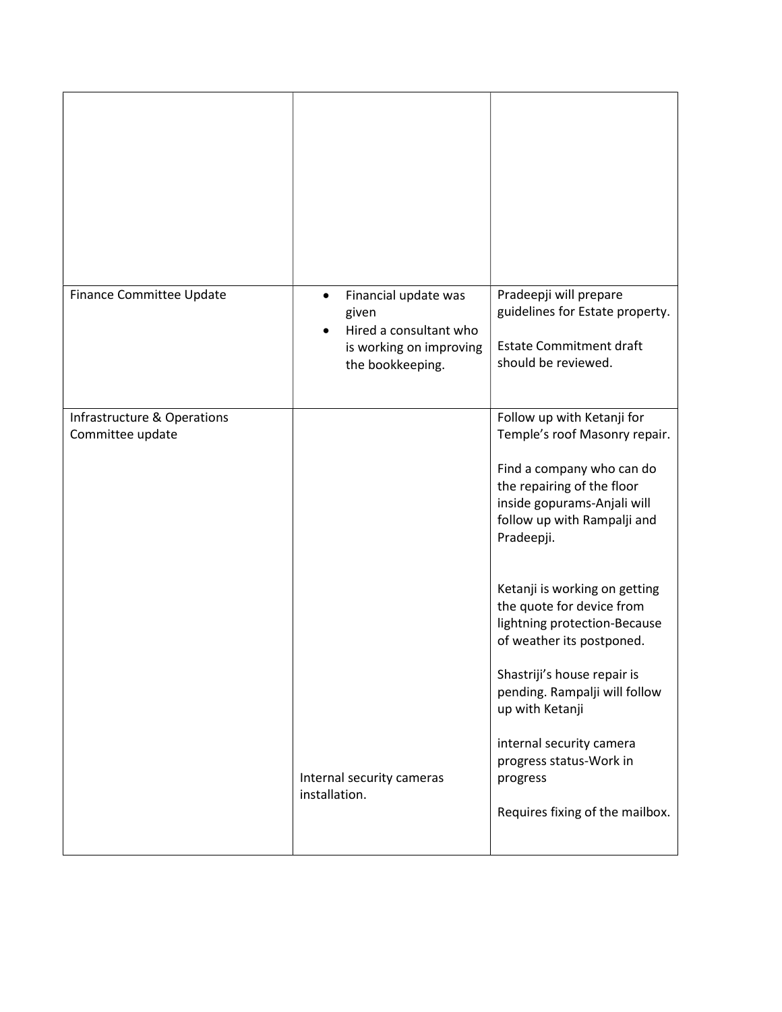| Finance Committee Update                        | Financial update was<br>given<br>Hired a consultant who<br>is working on improving<br>the bookkeeping. | Pradeepji will prepare<br>guidelines for Estate property.<br><b>Estate Commitment draft</b><br>should be reviewed.                                                                                         |
|-------------------------------------------------|--------------------------------------------------------------------------------------------------------|------------------------------------------------------------------------------------------------------------------------------------------------------------------------------------------------------------|
| Infrastructure & Operations<br>Committee update |                                                                                                        | Follow up with Ketanji for<br>Temple's roof Masonry repair.<br>Find a company who can do<br>the repairing of the floor<br>inside gopurams-Anjali will<br>follow up with Rampalji and<br>Pradeepji.         |
|                                                 |                                                                                                        | Ketanji is working on getting<br>the quote for device from<br>lightning protection-Because<br>of weather its postponed.<br>Shastriji's house repair is<br>pending. Rampalji will follow<br>up with Ketanji |
|                                                 | Internal security cameras<br>installation.                                                             | internal security camera<br>progress status-Work in<br>progress<br>Requires fixing of the mailbox.                                                                                                         |